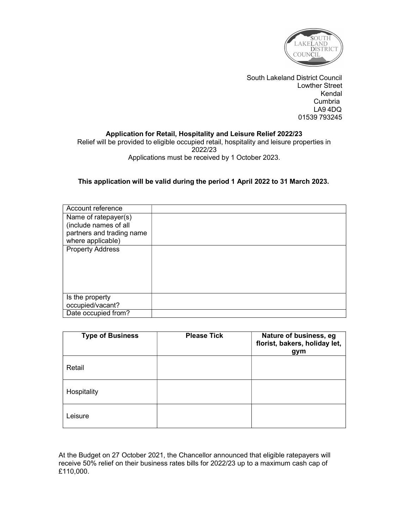

South Lakeland District Council Lowther Street Kendal Cumbria LA9 4DQ 01539 793245

# Application for Retail, Hospitality and Leisure Relief 2022/23

Relief will be provided to eligible occupied retail, hospitality and leisure properties in 2022/23 Applications must be received by 1 October 2023.

## This application will be valid during the period 1 April 2022 to 31 March 2023.

| Account reference                              |  |
|------------------------------------------------|--|
| Name of ratepayer(s)                           |  |
| (include names of all                          |  |
| partners and trading name<br>where applicable) |  |
| <b>Property Address</b>                        |  |
|                                                |  |
|                                                |  |
|                                                |  |
|                                                |  |
| Is the property                                |  |
| occupied/vacant?                               |  |
| Date occupied from?                            |  |

| <b>Type of Business</b> | <b>Please Tick</b> | Nature of business, eg<br>florist, bakers, holiday let,<br>gym |
|-------------------------|--------------------|----------------------------------------------------------------|
| Retail                  |                    |                                                                |
| Hospitality             |                    |                                                                |
| Leisure                 |                    |                                                                |

At the Budget on 27 October 2021, the Chancellor announced that eligible ratepayers will receive 50% relief on their business rates bills for 2022/23 up to a maximum cash cap of £110,000.